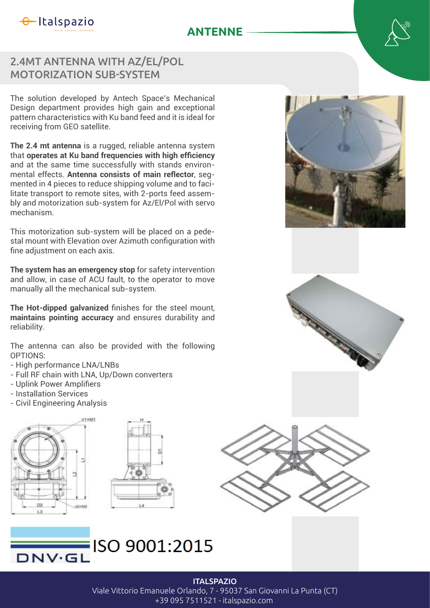

## **ANTENNE**

## 2.4MT ANTENNA WITH AZ/EL/POL MOTORIZATION SUB-SYSTEM

The solution developed by Antech Space's Mechanical Design department provides high gain and exceptional pattern characteristics with Ku band feed and it is ideal for receiving from GEO satellite.

**The 2.4 mt antenna** is a rugged, reliable antenna system that **operates at Ku band frequencies with high efficiency** and at the same time successfully with stands environmental effects. **Antenna consists of main reflector**, segmented in 4 pieces to reduce shipping volume and to facilitate transport to remote sites, with 2-ports feed assembly and motorization sub-system for Az/El/Pol with servo mechanism.

This motorization sub-system will be placed on a pedestal mount with Elevation over Azimuth configuration with fine adjustment on each axis.

**The system has an emergency stop** for safety intervention and allow, in case of ACU fault, to the operator to move manually all the mechanical sub-system.

The Hot-dipped galvanized finishes for the steel mount, **maintains pointing accuracy** and ensures durability and reliability.

The antenna can also be provided with the following OPTIONS:

- High performance LNA/LNBs
- Full RF chain with LNA, Up/Down converters
- Uplink Power Amplifiers
- Installation Services
- Civil Engineering Analysis













## Viale Vittorio Emanuele Orlando, 7 - 95037 San Giovanni La Punta (CT)

+39 095 7511521 - italspazio.com

**ITALSPAZIO**